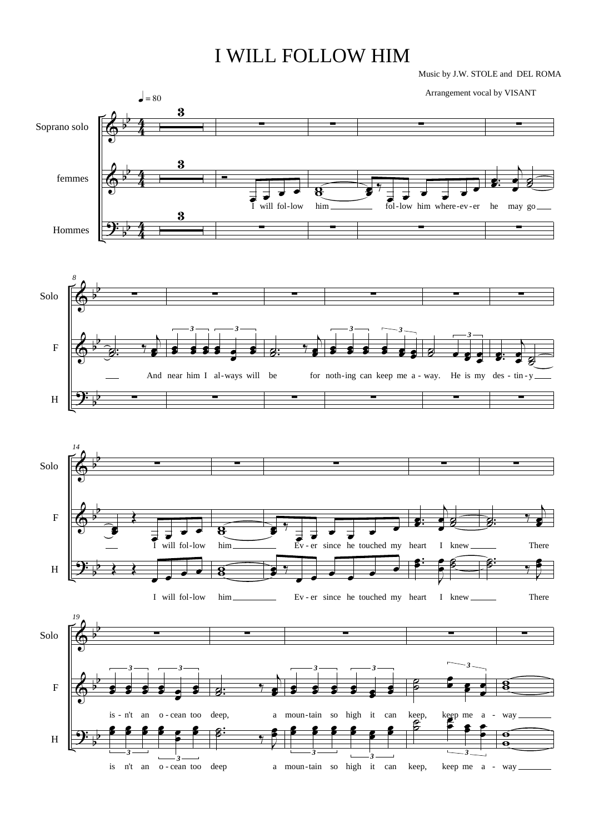## I WILL FOLLOW HIM

Music by J.W. STOLE and DEL ROMA

Arrangement vocal by VISANT

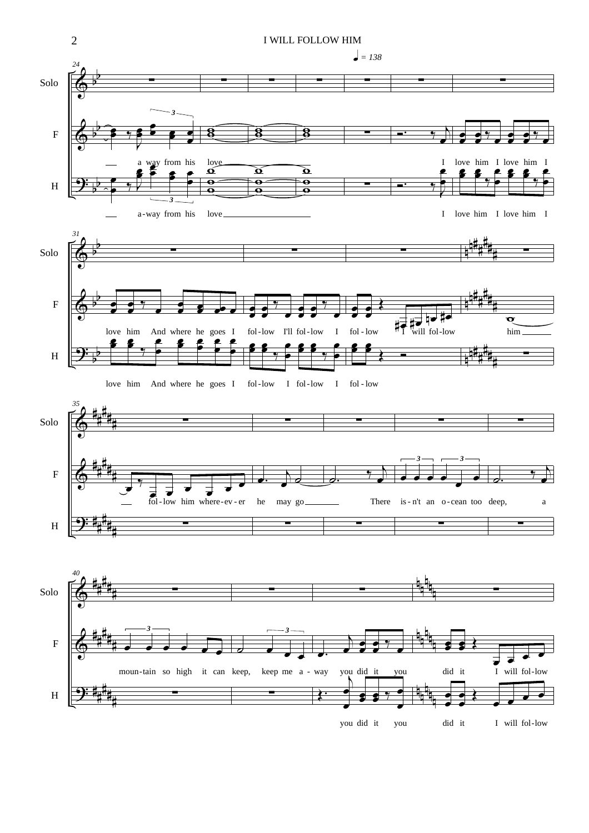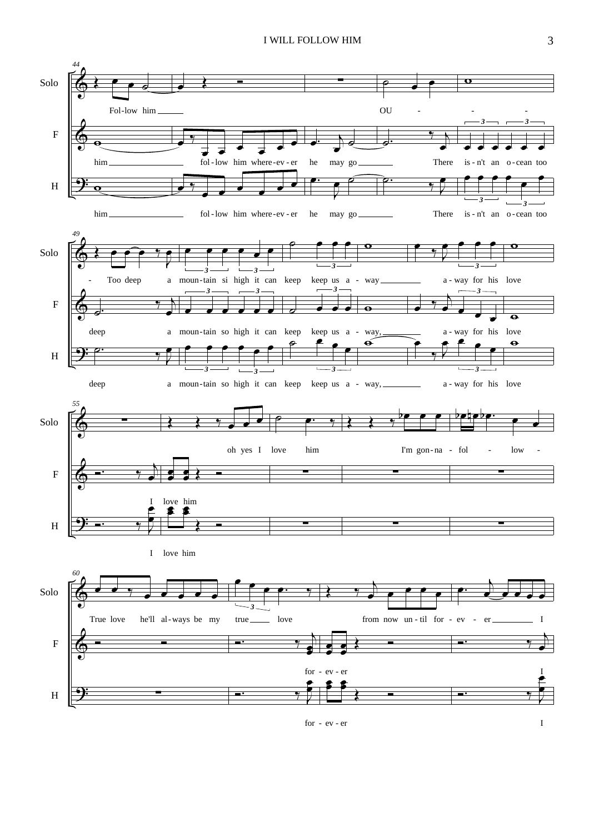I WILL FOLLOW HIM 3



for  $-ev$   $-er$ 

I